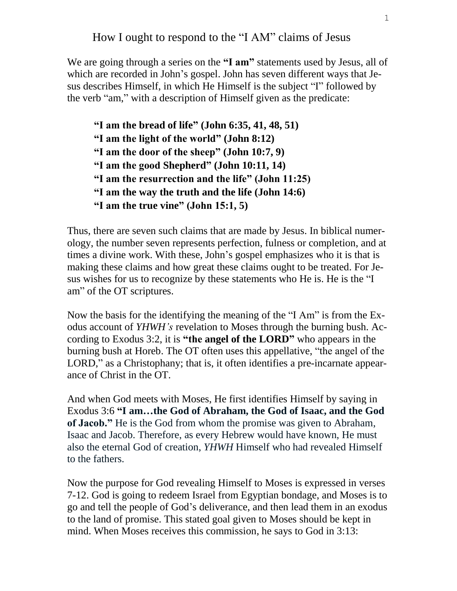How I ought to respond to the "I AM" claims of Jesus

We are going through a series on the **"I am"** statements used by Jesus, all of which are recorded in John's gospel. John has seven different ways that Jesus describes Himself, in which He Himself is the subject "I" followed by the verb "am," with a description of Himself given as the predicate:

```
"I am the bread of life" (John 6:35, 41, 48, 51)
"I am the light of the world" (John 8:12)
"I am the door of the sheep" (John 10:7, 9)
"I am the good Shepherd" (John 10:11, 14)
"I am the resurrection and the life" (John 11:25)
"I am the way the truth and the life (John 14:6)
"I am the true vine" (John 15:1, 5)
```
Thus, there are seven such claims that are made by Jesus. In biblical numerology, the number seven represents perfection, fulness or completion, and at times a divine work. With these, John's gospel emphasizes who it is that is making these claims and how great these claims ought to be treated. For Jesus wishes for us to recognize by these statements who He is. He is the "I am" of the OT scriptures.

Now the basis for the identifying the meaning of the "I Am" is from the Exodus account of *YHWH's* revelation to Moses through the burning bush. According to Exodus 3:2, it is **"the angel of the LORD"** who appears in the burning bush at Horeb. The OT often uses this appellative, "the angel of the LORD," as a Christophany; that is, it often identifies a pre-incarnate appearance of Christ in the OT.

And when God meets with Moses, He first identifies Himself by saying in Exodus 3:6 **"I am…the God of Abraham, the God of Isaac, and the God of Jacob."** He is the God from whom the promise was given to Abraham, Isaac and Jacob. Therefore, as every Hebrew would have known, He must also the eternal God of creation, *YHWH* Himself who had revealed Himself to the fathers.

Now the purpose for God revealing Himself to Moses is expressed in verses 7-12. God is going to redeem Israel from Egyptian bondage, and Moses is to go and tell the people of God's deliverance, and then lead them in an exodus to the land of promise. This stated goal given to Moses should be kept in mind. When Moses receives this commission, he says to God in 3:13: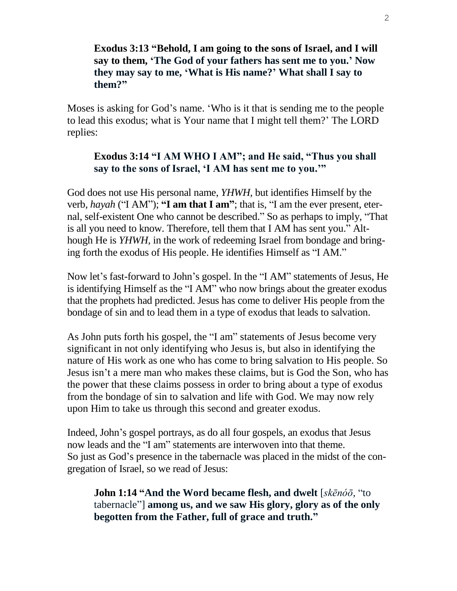#### **Exodus 3:13 "Behold, I am going to the sons of Israel, and I will say to them, 'The God of your fathers has sent me to you.' Now they may say to me, 'What is His name?' What shall I say to them?"**

Moses is asking for God's name. 'Who is it that is sending me to the people to lead this exodus; what is Your name that I might tell them?' The LORD replies:

#### **Exodus 3:14 "I AM WHO I AM"; and He said, "Thus you shall say to the sons of Israel, 'I AM has sent me to you.'"**

God does not use His personal name, *YHWH,* but identifies Himself by the verb, *hayah* ("I AM"); **"I am that I am"**; that is, "I am the ever present, eternal, self-existent One who cannot be described." So as perhaps to imply, "That is all you need to know. Therefore, tell them that I AM has sent you." Although He is *YHWH,* in the work of redeeming Israel from bondage and bringing forth the exodus of His people. He identifies Himself as "I AM."

Now let's fast-forward to John's gospel. In the "I AM" statements of Jesus, He is identifying Himself as the "I AM" who now brings about the greater exodus that the prophets had predicted. Jesus has come to deliver His people from the bondage of sin and to lead them in a type of exodus that leads to salvation.

As John puts forth his gospel, the "I am" statements of Jesus become very significant in not only identifying who Jesus is, but also in identifying the nature of His work as one who has come to bring salvation to His people. So Jesus isn't a mere man who makes these claims, but is God the Son, who has the power that these claims possess in order to bring about a type of exodus from the bondage of sin to salvation and life with God. We may now rely upon Him to take us through this second and greater exodus.

Indeed, John's gospel portrays, as do all four gospels, an exodus that Jesus now leads and the "I am" statements are interwoven into that theme. So just as God's presence in the tabernacle was placed in the midst of the congregation of Israel, so we read of Jesus:

**John 1:14 "And the Word became flesh, and dwelt** [*skēnóō,* "to tabernacle"] **among us, and we saw His glory, glory as of the only begotten from the Father, full of grace and truth."**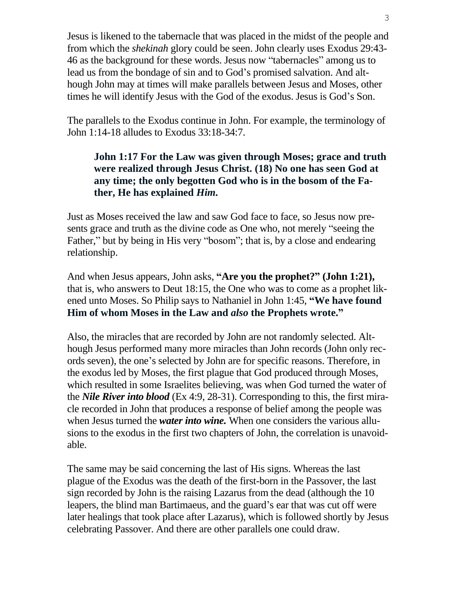Jesus is likened to the tabernacle that was placed in the midst of the people and from which the *shekinah* glory could be seen. John clearly uses Exodus 29:43- 46 as the background for these words. Jesus now "tabernacles" among us to lead us from the bondage of sin and to God's promised salvation. And although John may at times will make parallels between Jesus and Moses, other times he will identify Jesus with the God of the exodus. Jesus is God's Son.

The parallels to the Exodus continue in John. For example, the terminology of John 1:14-18 alludes to Exodus 33:18-34:7.

### **John 1:17 For the Law was given through Moses; grace and truth were realized through Jesus Christ. (18) No one has seen God at any time; the only begotten God who is in the bosom of the Father, He has explained** *Him.*

Just as Moses received the law and saw God face to face, so Jesus now presents grace and truth as the divine code as One who, not merely "seeing the Father," but by being in His very "bosom"; that is, by a close and endearing relationship.

And when Jesus appears, John asks, **"Are you the prophet?" (John 1:21),** that is, who answers to Deut 18:15, the One who was to come as a prophet likened unto Moses. So Philip says to Nathaniel in John 1:45, **"We have found Him of whom Moses in the Law and** *also* **the Prophets wrote."**

Also, the miracles that are recorded by John are not randomly selected. Although Jesus performed many more miracles than John records (John only records seven), the one's selected by John are for specific reasons. Therefore, in the exodus led by Moses, the first plague that God produced through Moses, which resulted in some Israelites believing, was when God turned the water of the *Nile River into blood* (Ex 4:9, 28-31). Corresponding to this, the first miracle recorded in John that produces a response of belief among the people was when Jesus turned the *water into wine.* When one considers the various allusions to the exodus in the first two chapters of John, the correlation is unavoidable.

The same may be said concerning the last of His signs. Whereas the last plague of the Exodus was the death of the first-born in the Passover, the last sign recorded by John is the raising Lazarus from the dead (although the 10 leapers, the blind man Bartimaeus, and the guard's ear that was cut off were later healings that took place after Lazarus), which is followed shortly by Jesus celebrating Passover. And there are other parallels one could draw.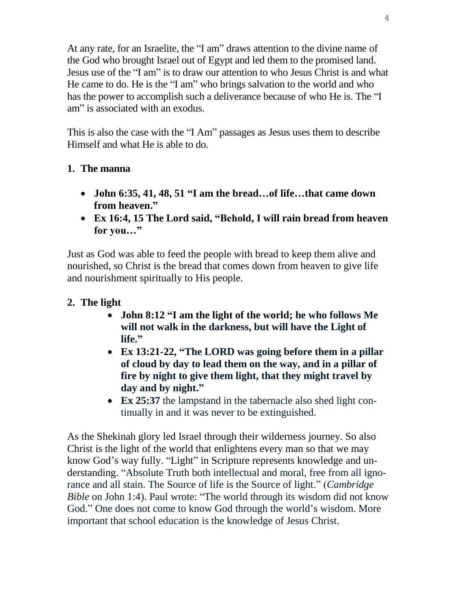At any rate, for an Israelite, the "I am" draws attention to the divine name of the God who brought Israel out of Egypt and led them to the promised land. Jesus use of the "I am" is to draw our attention to who Jesus Christ is and what He came to do. He is the "I am" who brings salvation to the world and who has the power to accomplish such a deliverance because of who He is. The "I am" is associated with an exodus.

This is also the case with the "I Am" passages as Jesus uses them to describe Himself and what He is able to do.

## **1. The manna**

- **John 6:35, 41, 48, 51 "I am the bread…of life…that came down from heaven."**
- **Ex 16:4, 15 The Lord said, "Behold, I will rain bread from heaven for you…"**

Just as God was able to feed the people with bread to keep them alive and nourished, so Christ is the bread that comes down from heaven to give life and nourishment spiritually to His people.

## **2. The light**

- **John 8:12 "I am the light of the world; he who follows Me will not walk in the darkness, but will have the Light of life."**
- **Ex 13:21-22, "The LORD was going before them in a pillar of cloud by day to lead them on the way, and in a pillar of fire by night to give them light, that they might travel by day and by night."**
- **Ex 25:37** the lampstand in the tabernacle also shed light continually in and it was never to be extinguished.

As the Shekinah glory led Israel through their wilderness journey. So also Christ is the light of the world that enlightens every man so that we may know God's way fully. "Light" in Scripture represents knowledge and understanding. "Absolute Truth both intellectual and moral, free from all ignorance and all stain. The Source of life is the Source of light." (*Cambridge Bible* on John 1:4). Paul wrote: "The world through its wisdom did not know God." One does not come to know God through the world's wisdom. More important that school education is the knowledge of Jesus Christ.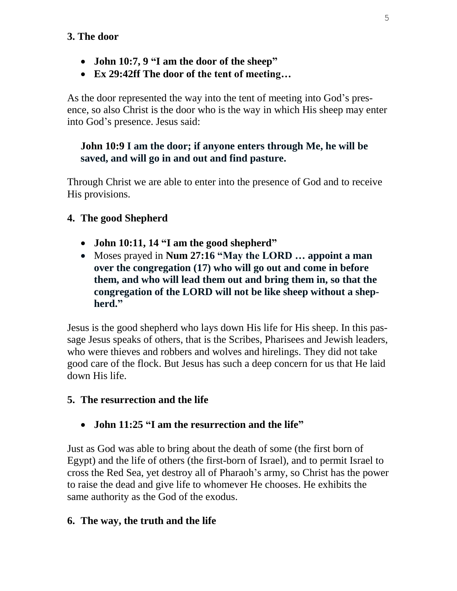## **3. The door**

- **John 10:7, 9 "I am the door of the sheep"**
- **Ex 29:42ff The door of the tent of meeting…**

As the door represented the way into the tent of meeting into God's presence, so also Christ is the door who is the way in which His sheep may enter into God's presence. Jesus said:

## **John 10:9 I am the door; if anyone enters through Me, he will be saved, and will go in and out and find pasture.**

Through Christ we are able to enter into the presence of God and to receive His provisions.

# **4. The good Shepherd**

- **John 10:11, 14 "I am the good shepherd"**
- Moses prayed in **Num 27:16 "May the LORD … appoint a man over the congregation (17) who will go out and come in before them, and who will lead them out and bring them in, so that the congregation of the LORD will not be like sheep without a shepherd."**

Jesus is the good shepherd who lays down His life for His sheep. In this passage Jesus speaks of others, that is the Scribes, Pharisees and Jewish leaders, who were thieves and robbers and wolves and hirelings. They did not take good care of the flock. But Jesus has such a deep concern for us that He laid down His life.

## **5. The resurrection and the life**

**John 11:25 "I am the resurrection and the life"**

Just as God was able to bring about the death of some (the first born of Egypt) and the life of others (the first-born of Israel), and to permit Israel to cross the Red Sea, yet destroy all of Pharaoh's army, so Christ has the power to raise the dead and give life to whomever He chooses. He exhibits the same authority as the God of the exodus.

## **6. The way, the truth and the life**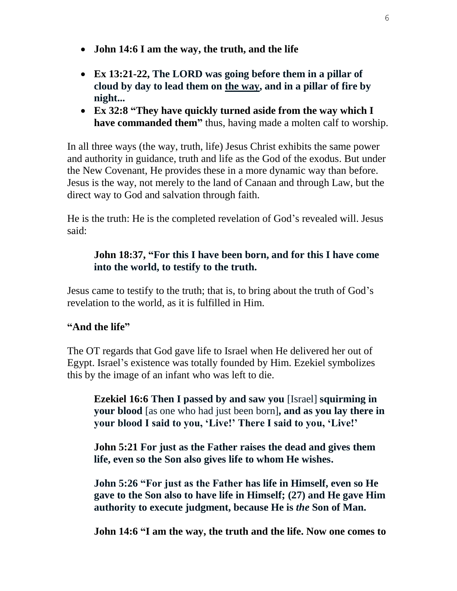- **John 14:6 I am the way, the truth, and the life**
- **Ex 13:21-22, The LORD was going before them in a pillar of cloud by day to lead them on the way, and in a pillar of fire by night...**
- **Ex 32:8 "They have quickly turned aside from the way which I have commanded them"** thus, having made a molten calf to worship.

In all three ways (the way, truth, life) Jesus Christ exhibits the same power and authority in guidance, truth and life as the God of the exodus. But under the New Covenant, He provides these in a more dynamic way than before. Jesus is the way, not merely to the land of Canaan and through Law, but the direct way to God and salvation through faith.

He is the truth: He is the completed revelation of God's revealed will. Jesus said:

### **John 18:37, "For this I have been born, and for this I have come into the world, to testify to the truth.**

Jesus came to testify to the truth; that is, to bring about the truth of God's revelation to the world, as it is fulfilled in Him.

## **"And the life"**

The OT regards that God gave life to Israel when He delivered her out of Egypt. Israel's existence was totally founded by Him. Ezekiel symbolizes this by the image of an infant who was left to die.

**Ezekiel 16:6 Then I passed by and saw you** [Israel] **squirming in your blood** [as one who had just been born]**, and as you lay there in your blood I said to you, 'Live!' There I said to you, 'Live!'**

**John 5:21 For just as the Father raises the dead and gives them life, even so the Son also gives life to whom He wishes.**

**John 5:26 "For just as the Father has life in Himself, even so He gave to the Son also to have life in Himself; (27) and He gave Him authority to execute judgment, because He is** *the* **Son of Man.**

**John 14:6 "I am the way, the truth and the life. Now one comes to**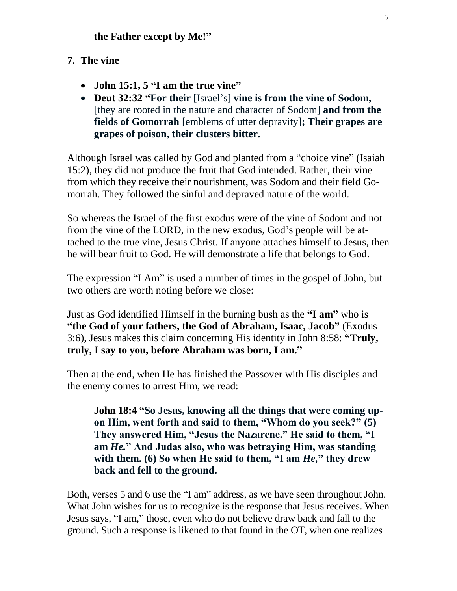# **7. The vine**

- **John 15:1, 5 "I am the true vine"**
- **Deut 32:32 "For their** [Israel's] **vine is from the vine of Sodom,**  [they are rooted in the nature and character of Sodom] **and from the fields of Gomorrah** [emblems of utter depravity]**; Their grapes are grapes of poison, their clusters bitter.**

Although Israel was called by God and planted from a "choice vine" (Isaiah 15:2), they did not produce the fruit that God intended. Rather, their vine from which they receive their nourishment, was Sodom and their field Gomorrah. They followed the sinful and depraved nature of the world.

So whereas the Israel of the first exodus were of the vine of Sodom and not from the vine of the LORD, in the new exodus, God's people will be attached to the true vine, Jesus Christ. If anyone attaches himself to Jesus, then he will bear fruit to God. He will demonstrate a life that belongs to God.

The expression "I Am" is used a number of times in the gospel of John, but two others are worth noting before we close:

Just as God identified Himself in the burning bush as the **"I am"** who is **"the God of your fathers, the God of Abraham, Isaac, Jacob"** (Exodus 3:6), Jesus makes this claim concerning His identity in John 8:58: **"Truly, truly, I say to you, before Abraham was born, I am."**

Then at the end, when He has finished the Passover with His disciples and the enemy comes to arrest Him, we read:

**John 18:4 "So Jesus, knowing all the things that were coming upon Him, went forth and said to them, "Whom do you seek?" (5) They answered Him, "Jesus the Nazarene." He said to them, "I am** *He.***" And Judas also, who was betraying Him, was standing with them. (6) So when He said to them, "I am** *He,***" they drew back and fell to the ground.**

Both, verses 5 and 6 use the "I am" address, as we have seen throughout John. What John wishes for us to recognize is the response that Jesus receives. When Jesus says, "I am," those, even who do not believe draw back and fall to the ground. Such a response is likened to that found in the OT, when one realizes